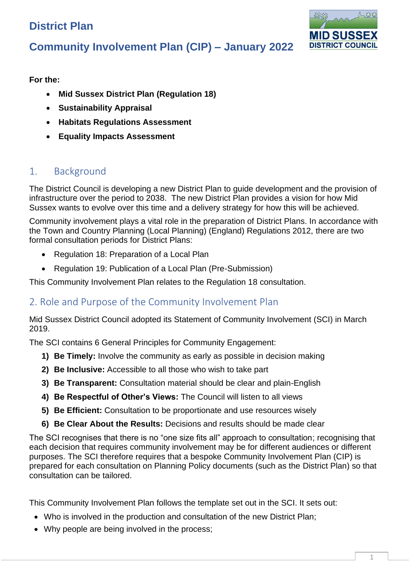# **District Plan**



# **Community Involvement Plan (CIP) – January 2022**

**For the:**

- **Mid Sussex District Plan (Regulation 18)**
- **Sustainability Appraisal**
- **Habitats Regulations Assessment**
- **Equality Impacts Assessment**

## 1. Background

The District Council is developing a new District Plan to guide development and the provision of infrastructure over the period to 2038. The new District Plan provides a vision for how Mid Sussex wants to evolve over this time and a delivery strategy for how this will be achieved.

Community involvement plays a vital role in the preparation of District Plans. In accordance with the Town and Country Planning (Local Planning) (England) Regulations 2012, there are two formal consultation periods for District Plans:

- Regulation 18: Preparation of a Local Plan
- Regulation 19: Publication of a Local Plan (Pre-Submission)

This Community Involvement Plan relates to the Regulation 18 consultation.

## 2. Role and Purpose of the Community Involvement Plan

Mid Sussex District Council adopted its Statement of Community Involvement (SCI) in March 2019.

The SCI contains 6 General Principles for Community Engagement:

- **1) Be Timely:** Involve the community as early as possible in decision making
- **2) Be Inclusive:** Accessible to all those who wish to take part
- **3) Be Transparent:** Consultation material should be clear and plain-English
- **4) Be Respectful of Other's Views:** The Council will listen to all views
- **5) Be Efficient:** Consultation to be proportionate and use resources wisely
- **6) Be Clear About the Results:** Decisions and results should be made clear

The SCI recognises that there is no "one size fits all" approach to consultation; recognising that each decision that requires community involvement may be for different audiences or different purposes. The SCI therefore requires that a bespoke Community Involvement Plan (CIP) is prepared for each consultation on Planning Policy documents (such as the District Plan) so that consultation can be tailored.

This Community Involvement Plan follows the template set out in the SCI. It sets out:

- Who is involved in the production and consultation of the new District Plan;
- Why people are being involved in the process;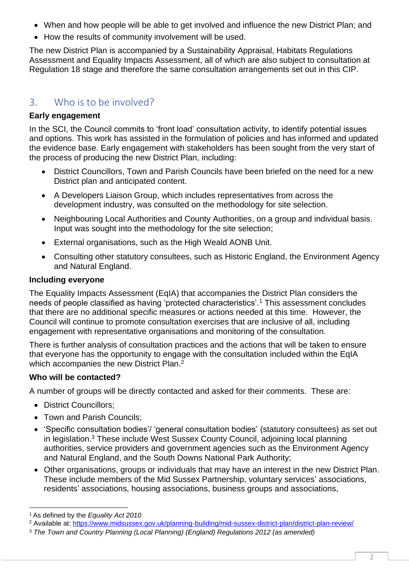- When and how people will be able to get involved and influence the new District Plan; and
- How the results of community involvement will be used.

The new District Plan is accompanied by a Sustainability Appraisal, Habitats Regulations Assessment and Equality Impacts Assessment, all of which are also subject to consultation at Regulation 18 stage and therefore the same consultation arrangements set out in this CIP.

## 3. Who is to be involved?

#### **Early engagement**

In the SCI, the Council commits to 'front load' consultation activity, to identify potential issues and options. This work has assisted in the formulation of policies and has informed and updated the evidence base. Early engagement with stakeholders has been sought from the very start of the process of producing the new District Plan, including:

- District Councillors, Town and Parish Councils have been briefed on the need for a new District plan and anticipated content.
- A Developers Liaison Group, which includes representatives from across the development industry, was consulted on the methodology for site selection.
- Neighbouring Local Authorities and County Authorities, on a group and individual basis. Input was sought into the methodology for the site selection;
- External organisations, such as the High Weald AONB Unit.
- Consulting other statutory consultees, such as Historic England, the Environment Agency and Natural England.

#### **Including everyone**

The Equality Impacts Assessment (EqIA) that accompanies the District Plan considers the needs of people classified as having 'protected characteristics'.<sup>1</sup> This assessment concludes that there are no additional specific measures or actions needed at this time. However, the Council will continue to promote consultation exercises that are inclusive of all, including engagement with representative organisations and monitoring of the consultation.

There is further analysis of consultation practices and the actions that will be taken to ensure that everyone has the opportunity to engage with the consultation included within the EqIA which accompanies the new District Plan.<sup>2</sup>

#### **Who will be contacted?**

A number of groups will be directly contacted and asked for their comments. These are:

- District Councillors;
- Town and Parish Councils;
- 'Specific consultation bodies'/ 'general consultation bodies' (statutory consultees) as set out in legislation. <sup>3</sup> These include West Sussex County Council, adjoining local planning authorities, service providers and government agencies such as the Environment Agency and Natural England, and the South Downs National Park Authority;
- Other organisations, groups or individuals that may have an interest in the new District Plan. These include members of the Mid Sussex Partnership, voluntary services' associations, residents' associations, housing associations, business groups and associations,

<sup>1</sup> As defined by the *Equality Act 2010*

<sup>2</sup> Available at: <https://www.midsussex.gov.uk/planning-building/mid-sussex-district-plan/district-plan-review/>

<sup>3</sup> *The Town and Country Planning (Local Planning) (England) Regulations 2012 (as amended)*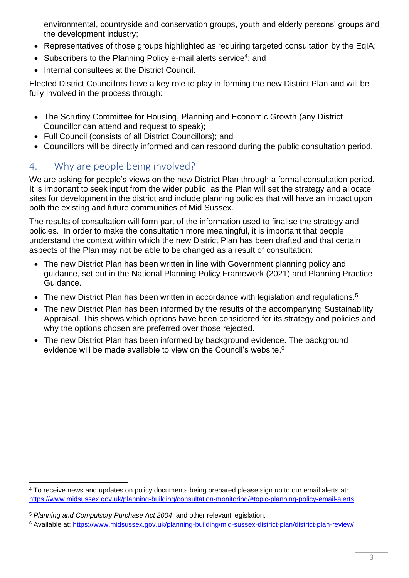environmental, countryside and conservation groups, youth and elderly persons' groups and the development industry;

- Representatives of those groups highlighted as requiring targeted consultation by the EqIA;
- Subscribers to the Planning Policy e-mail alerts service<sup>4</sup>; and
- Internal consultees at the District Council.

Elected District Councillors have a key role to play in forming the new District Plan and will be fully involved in the process through:

- The Scrutiny Committee for Housing, Planning and Economic Growth (any District Councillor can attend and request to speak);
- Full Council (consists of all District Councillors); and
- Councillors will be directly informed and can respond during the public consultation period.

## 4. Why are people being involved?

We are asking for people's views on the new District Plan through a formal consultation period. It is important to seek input from the wider public, as the Plan will set the strategy and allocate sites for development in the district and include planning policies that will have an impact upon both the existing and future communities of Mid Sussex.

The results of consultation will form part of the information used to finalise the strategy and policies. In order to make the consultation more meaningful, it is important that people understand the context within which the new District Plan has been drafted and that certain aspects of the Plan may not be able to be changed as a result of consultation:

- The new District Plan has been written in line with Government planning policy and guidance, set out in the National Planning Policy Framework (2021) and Planning Practice Guidance.
- The new District Plan has been written in accordance with legislation and regulations.<sup>5</sup>
- The new District Plan has been informed by the results of the accompanying Sustainability Appraisal. This shows which options have been considered for its strategy and policies and why the options chosen are preferred over those rejected.
- The new District Plan has been informed by background evidence. The background evidence will be made available to view on the Council's website.<sup>6</sup>

<sup>4</sup> To receive news and updates on policy documents being prepared please sign up to our email alerts at: <https://www.midsussex.gov.uk/planning-building/consultation-monitoring/#topic-planning-policy-email-alerts>

<sup>5</sup> *Planning and Compulsory Purchase Act 2004*, and other relevant legislation.

<sup>6</sup> Available at:<https://www.midsussex.gov.uk/planning-building/mid-sussex-district-plan/district-plan-review/>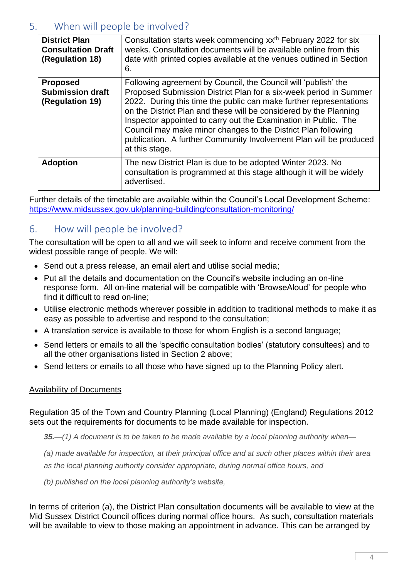## 5. When will people be involved?

| <b>District Plan</b><br><b>Consultation Draft</b><br>(Regulation 18) | Consultation starts week commencing xx <sup>th</sup> February 2022 for six<br>weeks. Consultation documents will be available online from this<br>date with printed copies available at the venues outlined in Section<br>6.                                                                                                                                                                                                                                                                               |
|----------------------------------------------------------------------|------------------------------------------------------------------------------------------------------------------------------------------------------------------------------------------------------------------------------------------------------------------------------------------------------------------------------------------------------------------------------------------------------------------------------------------------------------------------------------------------------------|
| <b>Proposed</b><br><b>Submission draft</b><br>(Regulation 19)        | Following agreement by Council, the Council will 'publish' the<br>Proposed Submission District Plan for a six-week period in Summer<br>2022. During this time the public can make further representations<br>on the District Plan and these will be considered by the Planning<br>Inspector appointed to carry out the Examination in Public. The<br>Council may make minor changes to the District Plan following<br>publication. A further Community Involvement Plan will be produced<br>at this stage. |
| <b>Adoption</b>                                                      | The new District Plan is due to be adopted Winter 2023. No<br>consultation is programmed at this stage although it will be widely<br>advertised.                                                                                                                                                                                                                                                                                                                                                           |

Further details of the timetable are available within the Council's Local Development Scheme: <https://www.midsussex.gov.uk/planning-building/consultation-monitoring/>

### 6. How will people be involved?

The consultation will be open to all and we will seek to inform and receive comment from the widest possible range of people. We will:

- Send out a press release, an email alert and utilise social media;
- Put all the details and documentation on the Council's website including an on-line response form. All on-line material will be compatible with 'BrowseAloud' for people who find it difficult to read on-line;
- Utilise electronic methods wherever possible in addition to traditional methods to make it as easy as possible to advertise and respond to the consultation;
- A translation service is available to those for whom English is a second language;
- Send letters or emails to all the 'specific consultation bodies' (statutory consultees) and to all the other organisations listed in Section 2 above;
- Send letters or emails to all those who have signed up to the Planning Policy alert.

#### Availability of Documents

Regulation 35 of the Town and Country Planning (Local Planning) (England) Regulations 2012 sets out the requirements for documents to be made available for inspection.

*35.—(1) A document is to be taken to be made available by a local planning authority when—*

*(a) made available for inspection, at their principal office and at such other places within their area as the local planning authority consider appropriate, during normal office hours, and*

*(b) published on the local planning authority's website,*

In terms of criterion (a), the District Plan consultation documents will be available to view at the Mid Sussex District Council offices during normal office hours. As such, consultation materials will be available to view to those making an appointment in advance. This can be arranged by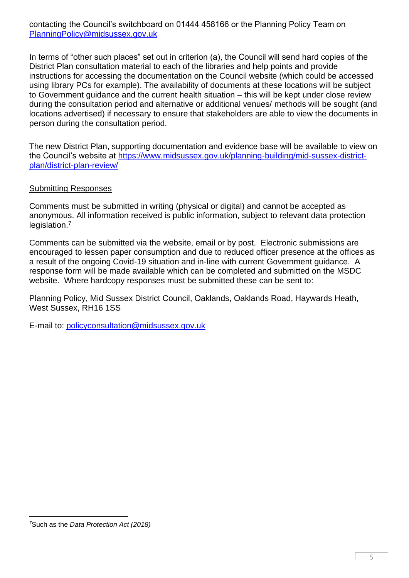contacting the Council's switchboard on 01444 458166 or the Planning Policy Team on [PlanningPolicy@midsussex.gov.uk](mailto:PlanningPolicy@midsussex.gov.uk)

In terms of "other such places" set out in criterion (a), the Council will send hard copies of the District Plan consultation material to each of the libraries and help points and provide instructions for accessing the documentation on the Council website (which could be accessed using library PCs for example). The availability of documents at these locations will be subject to Government guidance and the current health situation – this will be kept under close review during the consultation period and alternative or additional venues/ methods will be sought (and locations advertised) if necessary to ensure that stakeholders are able to view the documents in person during the consultation period.

The new District Plan, supporting documentation and evidence base will be available to view on the Council's website at [https://www.midsussex.gov.uk/planning-building/mid-sussex-district](https://www.midsussex.gov.uk/planning-building/mid-sussex-district-plan/district-plan-review/)[plan/district-plan-review/](https://www.midsussex.gov.uk/planning-building/mid-sussex-district-plan/district-plan-review/)

#### Submitting Responses

Comments must be submitted in writing (physical or digital) and cannot be accepted as anonymous. All information received is public information, subject to relevant data protection legislation.<sup>7</sup>

Comments can be submitted via the website, email or by post. Electronic submissions are encouraged to lessen paper consumption and due to reduced officer presence at the offices as a result of the ongoing Covid-19 situation and in-line with current Government guidance. A response form will be made available which can be completed and submitted on the MSDC website. Where hardcopy responses must be submitted these can be sent to:

Planning Policy, Mid Sussex District Council, Oaklands, Oaklands Road, Haywards Heath, West Sussex, RH16 1SS

E-mail to: [policyconsultation@midsussex.gov.uk](mailto:policyconsultation@midsussex.gov.uk)

*<sup>7</sup>*Such as the *Data Protection Act (2018)*